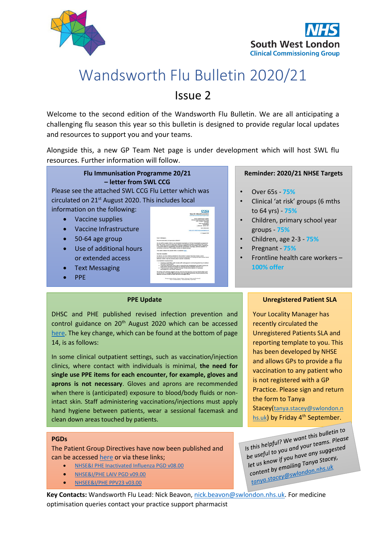



## Wandsworth Flu Bulletin 2020/21 Issue 2

Welcome to the second edition of the Wandsworth Flu Bulletin. We are all anticipating a challenging flu season this year so this bulletin is designed to provide regular local updates and resources to support you and your teams.

Alongside this, a new GP Team Net page is under development which will host SWL flu resources. Further information will follow.



#### **PPE Update**

DHSC and PHE published revised infection prevention and control guidance on 20<sup>th</sup> August 2020 which can be accessed [here.](https://assets.publishing.service.gov.uk/government/uploads/system/uploads/attachment_data/file/910885/COVID-19_Infection_prevention_and_control_guidance_FINAL_PDF_20082020.pdf) The key change, which can be found at the bottom of page 14, is as follows:

In some clinical outpatient settings, such as vaccination/injection clinics, where contact with individuals is minimal, **the need for single use PPE items for each encounter, for example, gloves and aprons is not necessary**. Gloves and aprons are recommended when there is (anticipated) exposure to blood/body fluids or nonintact skin. Staff administering vaccinations/injections must apply hand hygiene between patients, wear a sessional facemask and clean down areas touched by patients.

#### **PGDs**

The Patient Group Directives have now been published and can be accessed [here](https://www.england.nhs.uk/london/our-work/immunis-team/) or via these links;

- [NHSE&I PHE Inactivated Influenza PGD v08.00](https://www.england.nhs.uk/london/wp-content/uploads/sites/8/2020/08/NHSEI-PHE-Inactivated-Influenza-PGD-v08.00.pdf)
- [NHSE&I/PHE LAIV PGD v09.00](https://mcusercontent.com/ec5dea9536bde16d5a3153530/files/4675da55-9f5b-48c0-bc8f-2ea21481159f/NHSE_I_PHE_LAIV_PGD_v09.00.pdf)
- [NHSEE&I/PHE PPV23 v03.00](https://www.england.nhs.uk/london/wp-content/uploads/sites/8/2020/08/NHSEI-PHE-PPV-PGD-v0300.pdf)

**Key Contacts:** Wandsworth Flu Lead: Nick Beavon[, nick.beavon@swlondon.nhs.uk.](mailto:nick.beavon@swlondon.nhs.uk) For medicine optimisation queries contact your practice support pharmacist

#### **Unregistered Patient SLA**

Your Locality Manager has recently circulated the Unregistered Patients SLA and reporting template to you. This has been developed by NHSE and allows GPs to provide a flu vaccination to any patient who is not registered with a GP Practice. Please sign and return the form to Tanya Stacey([tanya.stacey@swlondon.n](mailto:tanya.stacey@swlondon.nhs.uk)

[hs.uk](mailto:tanya.stacey@swlondon.nhs.uk)) by Friday 4<sup>th</sup> September.

Is this helpful? We want this bulletin to<br>Is this helpful? We want this bulletin to Is this helpful? We want this bulletin to<br>be useful to you and your teams. Please<br>be useful to you have any suggested Is this helpful? We we do your teams. Fig.<br>be useful to you and your teams suggested<br>let us know if you have any a stacey,<br>let us the emailing Tanya Stacey, be useful to you whave any suggest<br>let us know if you have any a stacey,<br>content by emailing Tanya Stacey, et us know if a Tanya State of the Render of the content by emailing Tanya State of the team of the team of the team of the team of the team of the team of the team of the team of the team of the team of the team of the te